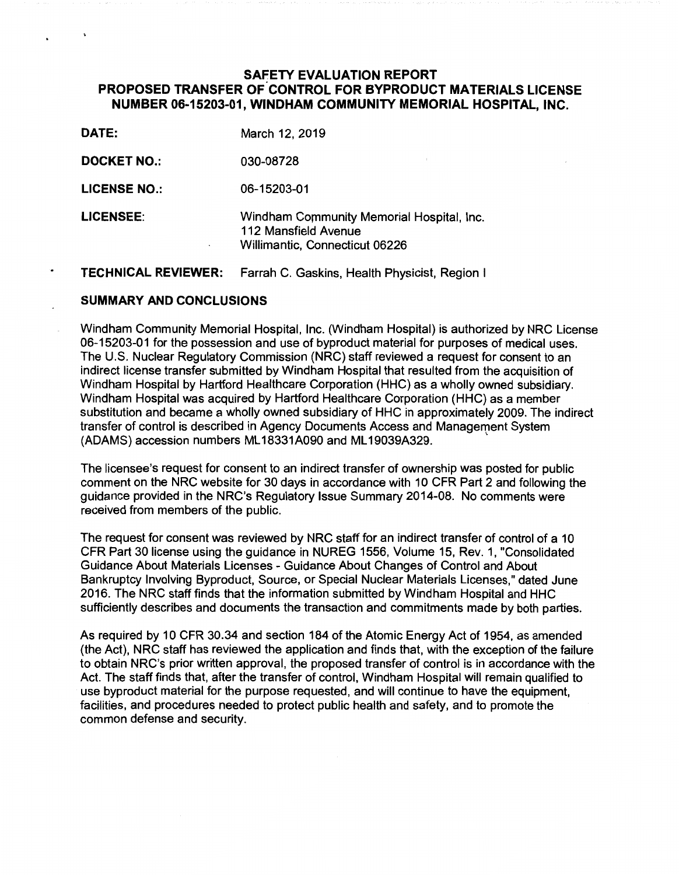# **SAFETY EVALUATION REPORT PROPOSED TRANSFER OF CONTROL FOR BYPRODUCT MATERIALS LICENSE NUMBER 06-15203-01, WINDHAM COMMUNITY MEMORIAL HOSPITAL, INC.**

| DATE:                 | March 12, 2019                                                                                      |
|-----------------------|-----------------------------------------------------------------------------------------------------|
| <b>DOCKET NO.:</b>    | 030-08728                                                                                           |
| <b>LICENSE NO.:</b>   | 06-15203-01                                                                                         |
| <b>LICENSEE:</b><br>٠ | Windham Community Memorial Hospital, Inc.<br>112 Mansfield Avenue<br>Willimantic, Connecticut 06226 |

#### **TECHNICAL REVIEWER:** Farrah C. Gaskins, Health Physicist, Region I

### **SUMMARY AND CONCLUSIONS**

 $\ddot{\phantom{0}}$ 

٠

Windham Community Memorial Hospital, Inc. (Windham Hospital) is authorized by NRC License 06-15203-01 for the possession and use of byproduct material for purposes of medical uses. The U.S. Nuclear Regulatory Commission (NRC) staff reviewed a request for consent to an indirect license transfer submitted by Windham Hospital that resulted from the acquisition of Windham Hospital by Hartford Healthcare Corporation (HHC) as a wholly owned subsidiary. Windham Hospital was acquired by Hartford Healthcare Corporation (HHC) as a member substitution and became a wholly owned subsidiary of HHC in approximately 2009. The indirect transfer of control is described in Agency Documents Access and Management System (ADAMS) accession numbers ML 18331A090 and ML 19039A329.

The licensee's request for consent to an indirect transfer of ownership was posted for public comment on the NRC website for 30 days in accordance with 10 CFR Part 2 and following the guidance provided in the NRC's Regulatory Issue Summary 2014-08. No comments were received from members of the public.

The request for consent was reviewed by NRC staff for an indirect transfer of control of a 10 CFR Part 30 license using the guidance in NUREG 1556, Volume 15, Rev. 1, "Consolidated Guidance About Materials Licenses - Guidance About Changes of Control and About Bankruptcy Involving Byproduct, Source, or Special Nuclear Materials Licenses," dated June 2016. The NRC staff finds that the information submitted by Windham Hospital and HHC sufficiently describes and documents the transaction and commitments made by both parties.

As required by 10 CFR 30.34 and section 184 of the Atomic Energy Act of 1954, as amended (the Act), NRC staff has reviewed the application and finds that, with the exception of the failure to obtain NRC's prior written approval, the proposed transfer of control is in accordance with the Act. The staff finds that, after the transfer of control, Windham Hospital will remain qualified to use byproduct material for the purpose requested, and will continue to have the equipment, facilities, and procedures needed to protect public health and safety, and to promote the common defense and security.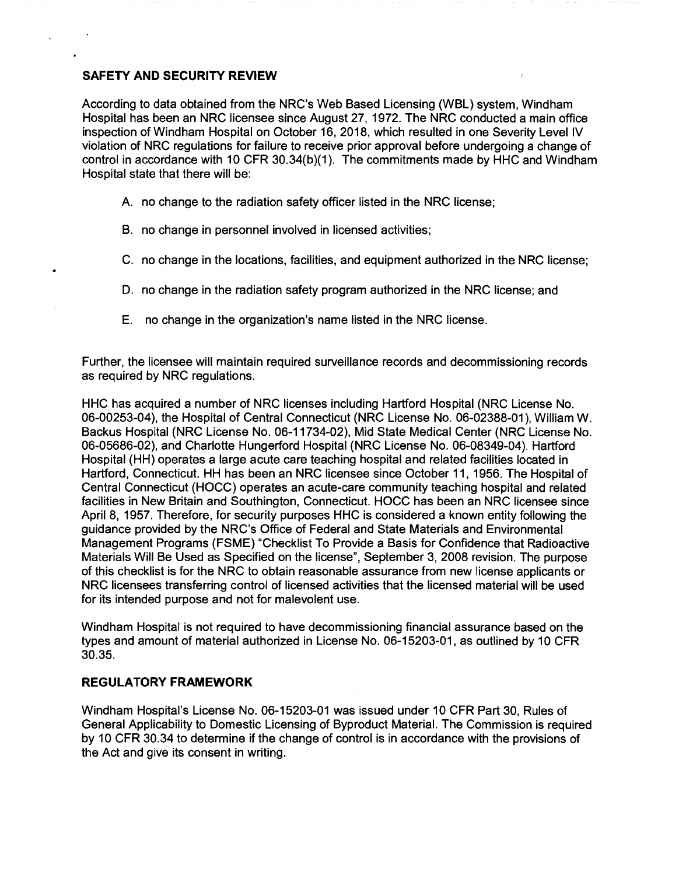# **SAFETY AND SECURITY REVIEW**

According to data obtained from the NRC's Web Based Licensing (WBL) system, Windham Hospital has been an NRC licensee since August 27, 1972. The NRC conducted a main office inspection of Windham Hospital on October 16, 2018, which resulted in one Severity Level IV violation of NRC regulations for failure to receive prior approval before undergoing a change of control in accordance with 10 CFR 30.34(b)(1). The commitments made by HHC and Windham Hospital state that there will be:

- A. no change to the radiation safety officer listed in the NRC license;
- B. no change in personnel involved in licensed activities;
- C. no change in the locations, facilities, and equipment authorized in the NRC license;
- D. no change in the radiation safety program authorized in the NRC license; and
- E. no change in the organization's name listed in the NRC license.

Further, the licensee will maintain required surveillance records and decommissioning records as required by NRC regulations.

HHC has acquired a number of NRC licenses including Hartford Hospital (NRC License No. 06-00253-04), the Hospital of Central Connecticut (NRC License No. 06-02388-01 ), William W. Backus Hospital (NRC License No. 06-11734-02), Mid State Medical Center (NRC License No. 06-05686-02), and Charlotte Hungerford Hospital (NRC License No. 06-08349-04). Hartford Hospital (HH) operates a large acute care teaching hospital and related facilities located in Hartford, Connecticut. HH has been an NRC licensee since October 11, 1956. The Hospital of Central Connecticut (HOCC) operates an acute-care community teaching hospital and related facilities in New Britain and Southington, Connecticut. HOCC has been an NRC licensee since April 8, 1957. Therefore, for security purposes HHC is considered a known entity following the guidance provided by the NRC's Office of Federal and State Materials and Environmental Management Programs (FSME) "Checklist To Provide a Basis for Confidence that Radioactive Materials Will Be Used as Specified on the license", September 3, 2008 revision. The purpose of this checklist is for the NRC to obtain reasonable assurance from new license applicants or NRC licensees transferring control of licensed activities that the licensed material will be used for its intended purpose and not for malevolent use.

Windham Hospital is not required to have decommissioning financial assurance based on the types and amount of material authorized in License No. 06-15203-01, as outlined by 10 CFR 30.35.

# **REGULATORY FRAMEWORK**

Windham Hospital's License No. 06-15203-01 was issued under 10 CFR Part 30, Rules of General Applicability to Domestic Licensing of Byproduct Material. The Commission is required by 10 CFR 30.34 to determine if the change of control is in accordance with the provisions of the Act and give its consent in writing.